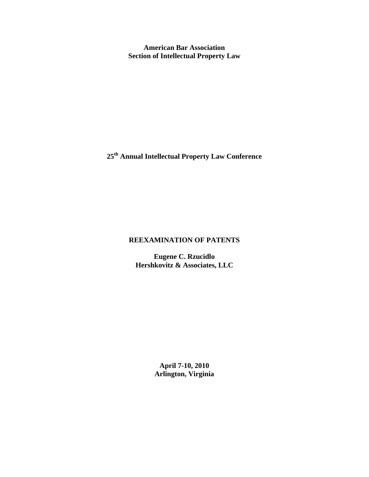**American Bar Association Section of Intellectual Property Law** 

**25th Annual Intellectual Property Law Conference** 

# **REEXAMINATION OF PATENTS**

**Eugene C. Rzucidlo Hershkovitz & Associates, LLC**

> **April 7-10, 2010 Arlington, Virginia**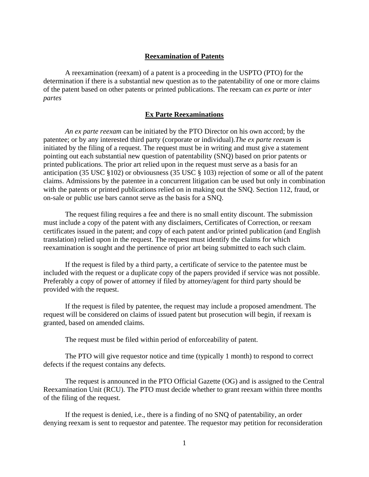# **Reexamination of Patents**

A reexamination (reexam) of a patent is a proceeding in the USPTO (PTO) for the determination if there is a substantial new question as to the patentability of one or more claims of the patent based on other patents or printed publications. The reexam can *ex parte* or *inter partes* 

# **Ex Parte Reexaminations**

*An ex parte reexam* can be initiated by the PTO Director on his own accord; by the patentee; or by any interested third party (corporate or individual).*The ex parte reexam* is initiated by the filing of a request. The request must be in writing and must give a statement pointing out each substantial new question of patentability (SNQ) based on prior patents or printed publications. The prior art relied upon in the request must serve as a basis for an anticipation (35 USC §102) or obviousness (35 USC § 103) rejection of some or all of the patent claims. Admissions by the patentee in a concurrent litigation can be used but only in combination with the patents or printed publications relied on in making out the SNQ. Section 112, fraud, or on-sale or public use bars cannot serve as the basis for a SNQ.

The request filing requires a fee and there is no small entity discount. The submission must include a copy of the patent with any disclaimers, Certificates of Correction, or reexam certificates issued in the patent; and copy of each patent and/or printed publication (and English translation) relied upon in the request. The request must identify the claims for which reexamination is sought and the pertinence of prior art being submitted to each such claim.

If the request is filed by a third party, a certificate of service to the patentee must be included with the request or a duplicate copy of the papers provided if service was not possible. Preferably a copy of power of attorney if filed by attorney/agent for third party should be provided with the request.

If the request is filed by patentee, the request may include a proposed amendment. The request will be considered on claims of issued patent but prosecution will begin, if reexam is granted, based on amended claims.

The request must be filed within period of enforceability of patent.

The PTO will give requestor notice and time (typically 1 month) to respond to correct defects if the request contains any defects.

The request is announced in the PTO Official Gazette (OG) and is assigned to the Central Reexamination Unit (RCU). The PTO must decide whether to grant reexam within three months of the filing of the request.

If the request is denied, i.e., there is a finding of no SNQ of patentability, an order denying reexam is sent to requestor and patentee. The requestor may petition for reconsideration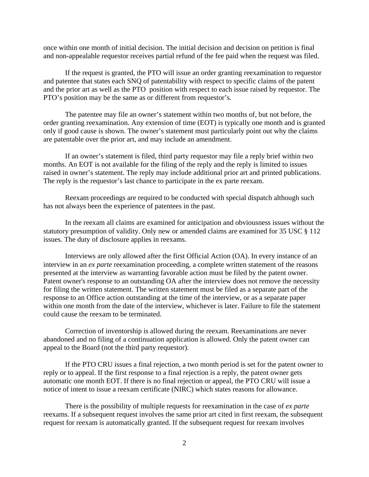once within one month of initial decision. The initial decision and decision on petition is final and non-appealable requestor receives partial refund of the fee paid when the request was filed.

If the request is granted, the PTO will issue an order granting reexamination to requestor and patentee that states each SNQ of patentability with respect to specific claims of the patent and the prior art as well as the PTO position with respect to each issue raised by requestor. The PTO's position may be the same as or different from requestor's.

The patentee may file an owner's statement within two months of, but not before, the order granting reexamination. Any extension of time (EOT) is typically one month and is granted only if good cause is shown. The owner's statement must particularly point out why the claims are patentable over the prior art, and may include an amendment.

If an owner's statement is filed, third party requestor may file a reply brief within two months. An EOT is not available for the filing of the reply and the reply is limited to issues raised in owner's statement. The reply may include additional prior art and printed publications. The reply is the requestor's last chance to participate in the ex parte reexam.

Reexam proceedings are required to be conducted with special dispatch although such has not always been the experience of patentees in the past.

In the reexam all claims are examined for anticipation and obviousness issues without the statutory presumption of validity. Only new or amended claims are examined for 35 USC § 112 issues. The duty of disclosure applies in reexams.

Interviews are only allowed after the first Official Action (OA). In every instance of an interview in an *ex parte* reexamination proceeding, a complete written statement of the reasons presented at the interview as warranting favorable action must be filed by the patent owner. Patent owner's response to an outstanding OA after the interview does not remove the necessity for filing the written statement. The written statement must be filed as a separate part of the response to an Office action outstanding at the time of the interview, or as a separate paper within one month from the date of the interview, whichever is later. Failure to file the statement could cause the reexam to be terminated.

Correction of inventorship is allowed during the reexam. Reexaminations are never abandoned and no filing of a continuation application is allowed. Only the patent owner can appeal to the Board (not the third party requestor).

If the PTO CRU issues a final rejection, a two month period is set for the patent owner to reply or to appeal. If the first response to a final rejection is a reply, the patent owner gets automatic one month EOT. If there is no final rejection or appeal, the PTO CRU will issue a notice of intent to issue a reexam certificate (NIRC) which states reasons for allowance.

There is the possibility of multiple requests for reexamination in the case of *ex parte*  reexams. If a subsequent request involves the same prior art cited in first reexam, the subsequent request for reexam is automatically granted. If the subsequent request for reexam involves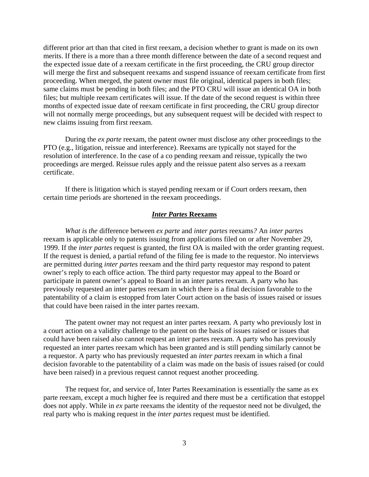different prior art than that cited in first reexam, a decision whether to grant is made on its own merits. If there is a more than a three month difference between the date of a second request and the expected issue date of a reexam certificate in the first proceeding, the CRU group director will merge the first and subsequent reexams and suspend issuance of reexam certificate from first proceeding. When merged, the patent owner must file original, identical papers in both files; same claims must be pending in both files; and the PTO CRU will issue an identical OA in both files; but multiple reexam certificates will issue. If the date of the second request is within three months of expected issue date of reexam certificate in first proceeding, the CRU group director will not normally merge proceedings, but any subsequent request will be decided with respect to new claims issuing from first reexam.

During the *ex parte* reexam, the patent owner must disclose any other proceedings to the PTO (e.g., litigation, reissue and interference). Reexams are typically not stayed for the resolution of interference. In the case of a co pending reexam and reissue, typically the two proceedings are merged. Reissue rules apply and the reissue patent also serves as a reexam certificate.

If there is litigation which is stayed pending reexam or if Court orders reexam, then certain time periods are shortened in the reexam proceedings.

#### *Inter Partes* **Reexams**

*What is the* difference between *ex parte* and *inter partes* reexams*?* An *inter partes* reexam is applicable only to patents issuing from applications filed on or after November 29, 1999. If the *inter partes* request is granted, the first OA is mailed with the order granting request. If the request is denied, a partial refund of the filing fee is made to the requestor. No interviews are permitted during *inter partes* reexam and the third party requestor may respond to patent owner's reply to each office action. The third party requestor may appeal to the Board or participate in patent owner's appeal to Board in an inter partes reexam. A party who has previously requested an inter partes reexam in which there is a final decision favorable to the patentability of a claim is estopped from later Court action on the basis of issues raised or issues that could have been raised in the inter partes reexam.

The patent owner may not request an inter partes reexam. A party who previously lost in a court action on a validity challenge to the patent on the basis of issues raised or issues that could have been raised also cannot request an inter partes reexam. A party who has previously requested an inter partes reexam which has been granted and is still pending similarly cannot be a requestor. A party who has previously requested an *inter partes* reexam in which a final decision favorable to the patentability of a claim was made on the basis of issues raised (or could have been raised) in a previous request cannot request another proceeding.

The request for, and service of, Inter Partes Reexamination is essentially the same as ex parte reexam, except a much higher fee is required and there must be a certification that estoppel does not apply. While in *ex* parte reexams the identity of the requestor need not be divulged, the real party who is making request in the *inter partes* request must be identified.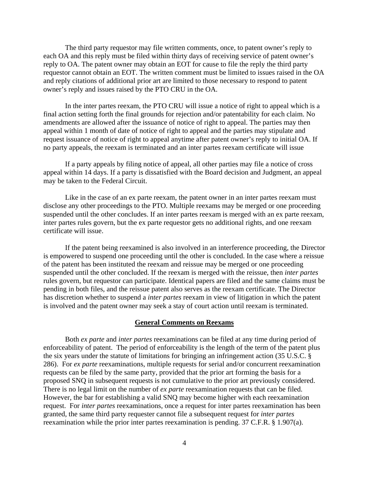The third party requestor may file written comments, once, to patent owner's reply to each OA and this reply must be filed within thirty days of receiving service of patent owner's reply to OA. The patent owner may obtain an EOT for cause to file the reply the third party requestor cannot obtain an EOT. The written comment must be limited to issues raised in the OA and reply citations of additional prior art are limited to those necessary to respond to patent owner's reply and issues raised by the PTO CRU in the OA.

In the inter partes reexam, the PTO CRU will issue a notice of right to appeal which is a final action setting forth the final grounds for rejection and/or patentability for each claim. No amendments are allowed after the issuance of notice of right to appeal. The parties may then appeal within 1 month of date of notice of right to appeal and the parties may stipulate and request issuance of notice of right to appeal anytime after patent owner's reply to initial OA. If no party appeals, the reexam is terminated and an inter partes reexam certificate will issue

If a party appeals by filing notice of appeal, all other parties may file a notice of cross appeal within 14 days. If a party is dissatisfied with the Board decision and Judgment, an appeal may be taken to the Federal Circuit.

Like in the case of an ex parte reexam, the patent owner in an inter partes reexam must disclose any other proceedings to the PTO. Multiple reexams may be merged or one proceeding suspended until the other concludes. If an inter partes reexam is merged with an ex parte reexam, inter partes rules govern, but the ex parte requestor gets no additional rights, and one reexam certificate will issue.

If the patent being reexamined is also involved in an interference proceeding, the Director is empowered to suspend one proceeding until the other is concluded. In the case where a reissue of the patent has been instituted the reexam and reissue may be merged or one proceeding suspended until the other concluded. If the reexam is merged with the reissue, then *inter partes* rules govern, but requestor can participate. Identical papers are filed and the same claims must be pending in both files, and the reissue patent also serves as the reexam certificate. The Director has discretion whether to suspend a *inter partes* reexam in view of litigation in which the patent is involved and the patent owner may seek a stay of court action until reexam is terminated.

### **General Comments on Reexams**

Both *ex parte* and *inter partes* reexaminations can be filed at any time during period of enforceability of patent. The period of enforceability is the length of the term of the patent plus the six years under the statute of limitations for bringing an infringement action (35 U.S.C. § 286). For *ex parte* reexaminations, multiple requests for serial and/or concurrent reexamination requests can be filed by the same party, provided that the prior art forming the basis for a proposed SNQ in subsequent requests is not cumulative to the prior art previously considered. There is no legal limit on the number of *ex parte* reexamination requests that can be filed. However, the bar for establishing a valid SNQ may become higher with each reexamination request. For *inter partes* reexaminations, once a request for inter partes reexamination has been granted, the same third party requester cannot file a subsequent request for *inter partes* reexamination while the prior inter partes reexamination is pending. 37 C.F.R. § 1.907(a).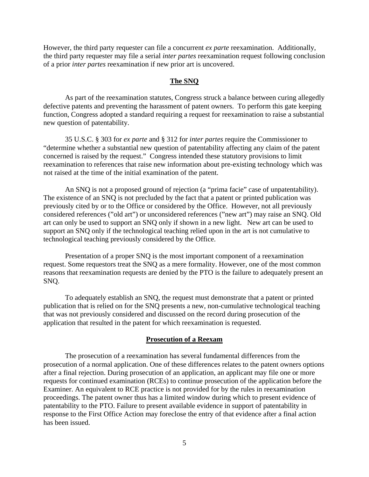However, the third party requester can file a concurrent *ex parte* reexamination. Additionally, the third party requester may file a serial *inter partes* reexamination request following conclusion of a prior *inter partes* reexamination if new prior art is uncovered.

# **The SNQ**

As part of the reexamination statutes, Congress struck a balance between curing allegedly defective patents and preventing the harassment of patent owners. To perform this gate keeping function, Congress adopted a standard requiring a request for reexamination to raise a substantial new question of patentability.

35 U.S.C. § 303 for *ex parte* and § 312 for *inter partes* require the Commissioner to "determine whether a substantial new question of patentability affecting any claim of the patent concerned is raised by the request." Congress intended these statutory provisions to limit reexamination to references that raise new information about pre-existing technology which was not raised at the time of the initial examination of the patent.

An SNQ is not a proposed ground of rejection (a "prima facie" case of unpatentability). The existence of an SNQ is not precluded by the fact that a patent or printed publication was previously cited by or to the Office or considered by the Office. However, not all previously considered references ("old art") or unconsidered references ("new art") may raise an SNQ. Old art can only be used to support an SNQ only if shown in a new light. New art can be used to support an SNQ only if the technological teaching relied upon in the art is not cumulative to technological teaching previously considered by the Office.

Presentation of a proper SNQ is the most important component of a reexamination request. Some requestors treat the SNQ as a mere formality. However, one of the most common reasons that reexamination requests are denied by the PTO is the failure to adequately present an SNQ.

To adequately establish an SNQ, the request must demonstrate that a patent or printed publication that is relied on for the SNQ presents a new, non-cumulative technological teaching that was not previously considered and discussed on the record during prosecution of the application that resulted in the patent for which reexamination is requested.

### **Prosecution of a Reexam**

The prosecution of a reexamination has several fundamental differences from the prosecution of a normal application. One of these differences relates to the patent owners options after a final rejection. During prosecution of an application, an applicant may file one or more requests for continued examination (RCEs) to continue prosecution of the application before the Examiner. An equivalent to RCE practice is not provided for by the rules in reexamination proceedings. The patent owner thus has a limited window during which to present evidence of patentability to the PTO. Failure to present available evidence in support of patentability in response to the First Office Action may foreclose the entry of that evidence after a final action has been issued.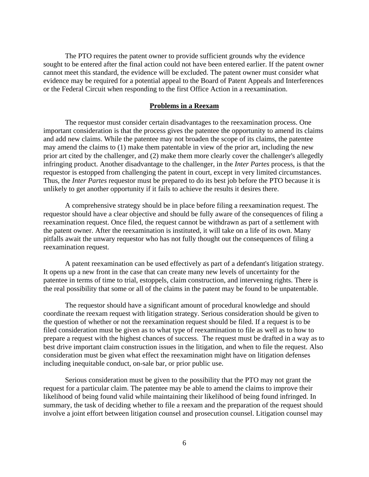The PTO requires the patent owner to provide sufficient grounds why the evidence sought to be entered after the final action could not have been entered earlier. If the patent owner cannot meet this standard, the evidence will be excluded. The patent owner must consider what evidence may be required for a potential appeal to the Board of Patent Appeals and Interferences or the Federal Circuit when responding to the first Office Action in a reexamination.

# **Problems in a Reexam**

The requestor must consider certain disadvantages to the reexamination process. One important consideration is that the process gives the patentee the opportunity to amend its claims and add new claims. While the patentee may not broaden the scope of its claims, the patentee may amend the claims to (1) make them patentable in view of the prior art, including the new prior art cited by the challenger, and (2) make them more clearly cover the challenger's allegedly infringing product. Another disadvantage to the challenger, in the *Inter Partes* process, is that the requestor is estopped from challenging the patent in court, except in very limited circumstances. Thus, the *Inter Partes* requestor must be prepared to do its best job before the PTO because it is unlikely to get another opportunity if it fails to achieve the results it desires there.

A comprehensive strategy should be in place before filing a reexamination request. The requestor should have a clear objective and should be fully aware of the consequences of filing a reexamination request. Once filed, the request cannot be withdrawn as part of a settlement with the patent owner. After the reexamination is instituted, it will take on a life of its own. Many pitfalls await the unwary requestor who has not fully thought out the consequences of filing a reexamination request.

A patent reexamination can be used effectively as part of a defendant's litigation strategy. It opens up a new front in the case that can create many new levels of uncertainty for the patentee in terms of time to trial, estoppels, claim construction, and intervening rights. There is the real possibility that some or all of the claims in the patent may be found to be unpatentable.

The requestor should have a significant amount of procedural knowledge and should coordinate the reexam request with litigation strategy. Serious consideration should be given to the question of whether or not the reexamination request should be filed. If a request is to be filed consideration must be given as to what type of reexamination to file as well as to how to prepare a request with the highest chances of success. The request must be drafted in a way as to best drive important claim construction issues in the litigation, and when to file the request. Also consideration must be given what effect the reexamination might have on litigation defenses including inequitable conduct, on-sale bar, or prior public use.

Serious consideration must be given to the possibility that the PTO may not grant the request for a particular claim. The patentee may be able to amend the claims to improve their likelihood of being found valid while maintaining their likelihood of being found infringed. In summary, the task of deciding whether to file a reexam and the preparation of the request should involve a joint effort between litigation counsel and prosecution counsel. Litigation counsel may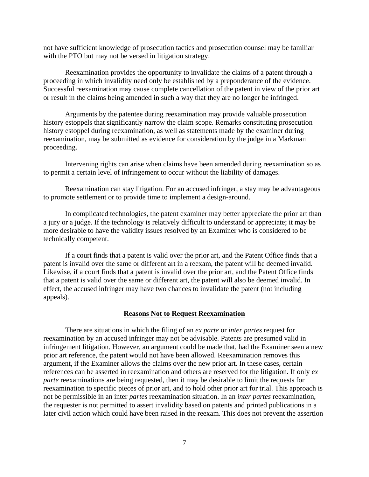not have sufficient knowledge of prosecution tactics and prosecution counsel may be familiar with the PTO but may not be versed in litigation strategy.

Reexamination provides the opportunity to invalidate the claims of a patent through a proceeding in which invalidity need only be established by a preponderance of the evidence. Successful reexamination may cause complete cancellation of the patent in view of the prior art or result in the claims being amended in such a way that they are no longer be infringed.

Arguments by the patentee during reexamination may provide valuable prosecution history estoppels that significantly narrow the claim scope. Remarks constituting prosecution history estoppel during reexamination, as well as statements made by the examiner during reexamination, may be submitted as evidence for consideration by the judge in a Markman proceeding.

Intervening rights can arise when claims have been amended during reexamination so as to permit a certain level of infringement to occur without the liability of damages.

Reexamination can stay litigation. For an accused infringer, a stay may be advantageous to promote settlement or to provide time to implement a design-around.

In complicated technologies, the patent examiner may better appreciate the prior art than a jury or a judge. If the technology is relatively difficult to understand or appreciate; it may be more desirable to have the validity issues resolved by an Examiner who is considered to be technically competent.

If a court finds that a patent is valid over the prior art, and the Patent Office finds that a patent is invalid over the same or different art in a reexam, the patent will be deemed invalid. Likewise, if a court finds that a patent is invalid over the prior art, and the Patent Office finds that a patent is valid over the same or different art, the patent will also be deemed invalid. In effect, the accused infringer may have two chances to invalidate the patent (not including appeals).

#### **Reasons Not to Request Reexamination**

There are situations in which the filing of an *ex parte* or *inter partes* request for reexamination by an accused infringer may not be advisable. Patents are presumed valid in infringement litigation. However, an argument could be made that, had the Examiner seen a new prior art reference, the patent would not have been allowed. Reexamination removes this argument, if the Examiner allows the claims over the new prior art. In these cases, certain references can be asserted in reexamination and others are reserved for the litigation. If only *ex parte* reexaminations are being requested, then it may be desirable to limit the requests for reexamination to specific pieces of prior art, and to hold other prior art for trial. This approach is not be permissible in an inter *partes* reexamination situation. In an *inter partes* reexamination, the requester is not permitted to assert invalidity based on patents and printed publications in a later civil action which could have been raised in the reexam. This does not prevent the assertion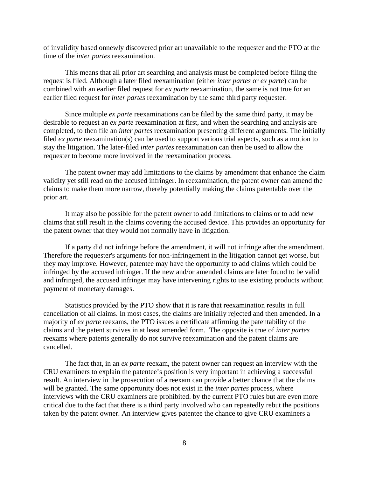of invalidity based onnewly discovered prior art unavailable to the requester and the PTO at the time of the *inter partes* reexamination.

This means that all prior art searching and analysis must be completed before filing the request is filed. Although a later filed reexamination (either *inter partes* or *ex parte*) can be combined with an earlier filed request for *ex parte* reexamination, the same is not true for an earlier filed request for *inter partes* reexamination by the same third party requester.

Since multiple *ex parte* reexaminations can be filed by the same third party, it may be desirable to request an *ex parte* reexamination at first, and when the searching and analysis are completed, to then file an *inter partes* reexamination presenting different arguments. The initially filed *ex parte* reexamination(s) can be used to support various trial aspects, such as a motion to stay the litigation. The later-filed *inter partes* reexamination can then be used to allow the requester to become more involved in the reexamination process.

The patent owner may add limitations to the claims by amendment that enhance the claim validity yet still read on the accused infringer. In reexamination, the patent owner can amend the claims to make them more narrow, thereby potentially making the claims patentable over the prior art.

It may also be possible for the patent owner to add limitations to claims or to add new claims that still result in the claims covering the accused device. This provides an opportunity for the patent owner that they would not normally have in litigation.

If a party did not infringe before the amendment, it will not infringe after the amendment. Therefore the requester's arguments for non-infringement in the litigation cannot get worse, but they may improve. However, patentee may have the opportunity to add claims which could be infringed by the accused infringer. If the new and/or amended claims are later found to be valid and infringed, the accused infringer may have intervening rights to use existing products without payment of monetary damages.

Statistics provided by the PTO show that it is rare that reexamination results in full cancellation of all claims. In most cases, the claims are initially rejected and then amended. In a majority of *ex parte* reexams, the PTO issues a certificate affirming the patentability of the claims and the patent survives in at least amended form. The opposite is true of *inter partes*  reexams where patents generally do not survive reexamination and the patent claims are cancelled.

The fact that, in an *ex parte* reexam, the patent owner can request an interview with the CRU examiners to explain the patentee's position is very important in achieving a successful result. An interview in the prosecution of a reexam can provide a better chance that the claims will be granted. The same opportunity does not exist in the *inter partes* process, where interviews with the CRU examiners are prohibited. by the current PTO rules but are even more critical due to the fact that there is a third party involved who can repeatedly rebut the positions taken by the patent owner. An interview gives patentee the chance to give CRU examiners a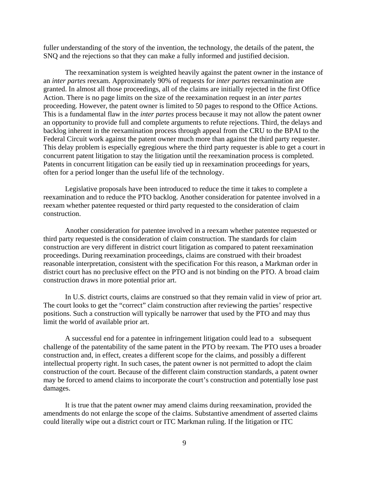fuller understanding of the story of the invention, the technology, the details of the patent, the SNQ and the rejections so that they can make a fully informed and justified decision.

The reexamination system is weighted heavily against the patent owner in the instance of an *inter partes* reexam. Approximately 90% of requests for *inter partes* reexamination are granted. In almost all those proceedings, all of the claims are initially rejected in the first Office Action. There is no page limits on the size of the reexamination request in an *inter partes*  proceeding. However, the patent owner is limited to 50 pages to respond to the Office Actions. This is a fundamental flaw in the *inter partes* process because it may not allow the patent owner an opportunity to provide full and complete arguments to refute rejections. Third, the delays and backlog inherent in the reexamination process through appeal from the CRU to the BPAI to the Federal Circuit work against the patent owner much more than against the third party requester. This delay problem is especially egregious where the third party requester is able to get a court in concurrent patent litigation to stay the litigation until the reexamination process is completed. Patents in concurrent litigation can be easily tied up in reexamination proceedings for years, often for a period longer than the useful life of the technology.

Legislative proposals have been introduced to reduce the time it takes to complete a reexamination and to reduce the PTO backlog. Another consideration for patentee involved in a reexam whether patentee requested or third party requested to the consideration of claim construction.

Another consideration for patentee involved in a reexam whether patentee requested or third party requested is the consideration of claim construction. The standards for claim construction are very different in district court litigation as compared to patent reexamination proceedings. During reexamination proceedings, claims are construed with their broadest reasonable interpretation, consistent with the specification For this reason, a Markman order in district court has no preclusive effect on the PTO and is not binding on the PTO. A broad claim construction draws in more potential prior art.

In U.S. district courts, claims are construed so that they remain valid in view of prior art. The court looks to get the "correct" claim construction after reviewing the parties' respective positions. Such a construction will typically be narrower that used by the PTO and may thus limit the world of available prior art.

A successful end for a patentee in infringement litigation could lead to a subsequent challenge of the patentability of the same patent in the PTO by reexam. The PTO uses a broader construction and, in effect, creates a different scope for the claims, and possibly a different intellectual property right. In such cases, the patent owner is not permitted to adopt the claim construction of the court. Because of the different claim construction standards, a patent owner may be forced to amend claims to incorporate the court's construction and potentially lose past damages.

It is true that the patent owner may amend claims during reexamination, provided the amendments do not enlarge the scope of the claims. Substantive amendment of asserted claims could literally wipe out a district court or ITC Markman ruling. If the litigation or ITC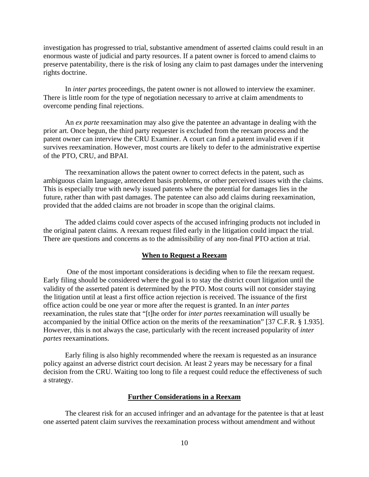investigation has progressed to trial, substantive amendment of asserted claims could result in an enormous waste of judicial and party resources. If a patent owner is forced to amend claims to preserve patentability, there is the risk of losing any claim to past damages under the intervening rights doctrine.

In *inter partes* proceedings, the patent owner is not allowed to interview the examiner. There is little room for the type of negotiation necessary to arrive at claim amendments to overcome pending final rejections.

An *ex parte* reexamination may also give the patentee an advantage in dealing with the prior art. Once begun, the third party requester is excluded from the reexam process and the patent owner can interview the CRU Examiner. A court can find a patent invalid even if it survives reexamination. However, most courts are likely to defer to the administrative expertise of the PTO, CRU, and BPAI.

The reexamination allows the patent owner to correct defects in the patent, such as ambiguous claim language, antecedent basis problems, or other perceived issues with the claims. This is especially true with newly issued patents where the potential for damages lies in the future, rather than with past damages. The patentee can also add claims during reexamination, provided that the added claims are not broader in scope than the original claims.

The added claims could cover aspects of the accused infringing products not included in the original patent claims. A reexam request filed early in the litigation could impact the trial. There are questions and concerns as to the admissibility of any non-final PTO action at trial.

# **When to Request a Reexam**

 One of the most important considerations is deciding when to file the reexam request. Early filing should be considered where the goal is to stay the district court litigation until the validity of the asserted patent is determined by the PTO. Most courts will not consider staying the litigation until at least a first office action rejection is received. The issuance of the first office action could be one year or more after the request is granted. In an *inter partes*  reexamination, the rules state that "[t]he order for *inter partes* reexamination will usually be accompanied by the initial Office action on the merits of the reexamination" [37 C.F.R. § 1.935]. However, this is not always the case, particularly with the recent increased popularity of *inter partes* reexaminations.

Early filing is also highly recommended where the reexam is requested as an insurance policy against an adverse district court decision. At least 2 years may be necessary for a final decision from the CRU. Waiting too long to file a request could reduce the effectiveness of such a strategy.

### **Further Considerations in a Reexam**

The clearest risk for an accused infringer and an advantage for the patentee is that at least one asserted patent claim survives the reexamination process without amendment and without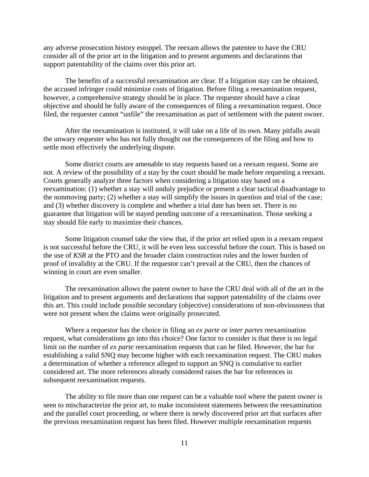any adverse prosecution history estoppel. The reexam allows the patentee to have the CRU consider all of the prior art in the litigation and to present arguments and declarations that support patentability of the claims over this prior art.

The benefits of a successful reexamination are clear. If a litigation stay can be obtained, the accused infringer could minimize costs of litigation. Before filing a reexamination request, however, a comprehensive strategy should be in place. The requester should have a clear objective and should be fully aware of the consequences of filing a reexamination request. Once filed, the requester cannot "unfile" the reexamination as part of settlement with the patent owner.

After the reexamination is instituted, it will take on a life of its own. Many pitfalls await the unwary requester who has not fully thought out the consequences of the filing and how to settle most effectively the underlying dispute.

Some district courts are amenable to stay requests based on a reexam request. Some are not. A review of the possibility of a stay by the court should be made before requesting a reexam. Courts generally analyze three factors when considering a litigation stay based on a reexamination: (1) whether a stay will unduly prejudice or present a clear tactical disadvantage to the nonmoving party; (2) whether a stay will simplify the issues in question and trial of the case; and (3) whether discovery is complete and whether a trial date has been set. There is no guarantee that litigation will be stayed pending outcome of a reexamination. Those seeking a stay should file early to maximize their chances.

Some litigation counsel take the view that, if the prior art relied upon in a reexam request is not successful before the CRU, it will be even less successful before the court. This is based on the use of *KSR* at the PTO and the broader claim construction rules and the lower burden of proof of invalidity at the CRU. If the requestor can't prevail at the CRU, then the chances of winning in court are even smaller.

The reexamination allows the patent owner to have the CRU deal with all of the art in the litigation and to present arguments and declarations that support patentability of the claims over this art. This could include possible secondary (objective) considerations of non-obviousness that were not present when the claims were originally prosecuted.

Where a requestor has the choice in filing an *ex parte* or *inter partes* reexamination request, what considerations go into this choice? One factor to consider is that there is no legal limit on the number of *ex parte* reexamination requests that can be filed. However, the bar for establishing a valid SNQ may become higher with each reexamination request. The CRU makes a determination of whether a reference alleged to support an SNQ is cumulative to earlier considered art. The more references already considered raises the bar for references in subsequent reexamination requests.

The ability to file more than one request can be a valuable tool where the patent owner is seen to mischaracterize the prior art, to make inconsistent statements between the reexamination and the parallel court proceeding, or where there is newly discovered prior art that surfaces after the previous reexamination request has been filed. However multiple reexamination requests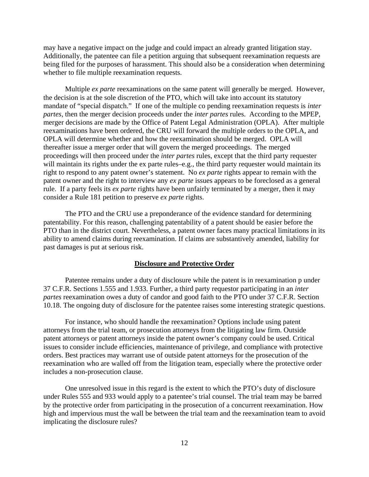may have a negative impact on the judge and could impact an already granted litigation stay. Additionally, the patentee can file a petition arguing that subsequent reexamination requests are being filed for the purposes of harassment. This should also be a consideration when determining whether to file multiple reexamination requests.

Multiple *ex parte* reexaminations on the same patent will generally be merged. However, the decision is at the sole discretion of the PTO, which will take into account its statutory mandate of "special dispatch." If one of the multiple co pending reexamination requests is *inter partes*, then the merger decision proceeds under the *inter partes* rules. According to the MPEP, merger decisions are made by the Office of Patent Legal Administration (OPLA). After multiple reexaminations have been ordered, the CRU will forward the multiple orders to the OPLA, and OPLA will determine whether and how the reexamination should be merged. OPLA will thereafter issue a merger order that will govern the merged proceedings. The merged proceedings will then proceed under the *inter partes* rules, except that the third party requester will maintain its rights under the ex parte rules–e.g., the third party requester would maintain its right to respond to any patent owner's statement. No *ex parte* rights appear to remain with the patent owner and the right to interview any *ex parte* issues appears to be foreclosed as a general rule. If a party feels its *ex parte* rights have been unfairly terminated by a merger, then it may consider a Rule 181 petition to preserve *ex parte* rights.

The PTO and the CRU use a preponderance of the evidence standard for determining patentability. For this reason, challenging patentability of a patent should be easier before the PTO than in the district court. Nevertheless, a patent owner faces many practical limitations in its ability to amend claims during reexamination. If claims are substantively amended, liability for past damages is put at serious risk.

#### **Disclosure and Protective Order**

Patentee remains under a duty of disclosure while the patent is in reexamination p under 37 C.F.R. Sections 1.555 and 1.933. Further, a third party requestor participating in an *inter partes* reexamination owes a duty of candor and good faith to the PTO under 37 C.F.R. Section 10.18. The ongoing duty of disclosure for the patentee raises some interesting strategic questions.

For instance, who should handle the reexamination? Options include using patent attorneys from the trial team, or prosecution attorneys from the litigating law firm. Outside patent attorneys or patent attorneys inside the patent owner's company could be used. Critical issues to consider include efficiencies, maintenance of privilege, and compliance with protective orders. Best practices may warrant use of outside patent attorneys for the prosecution of the reexamination who are walled off from the litigation team, especially where the protective order includes a non-prosecution clause.

One unresolved issue in this regard is the extent to which the PTO's duty of disclosure under Rules 555 and 933 would apply to a patentee's trial counsel. The trial team may be barred by the protective order from participating in the prosecution of a concurrent reexamination. How high and impervious must the wall be between the trial team and the reexamination team to avoid implicating the disclosure rules?